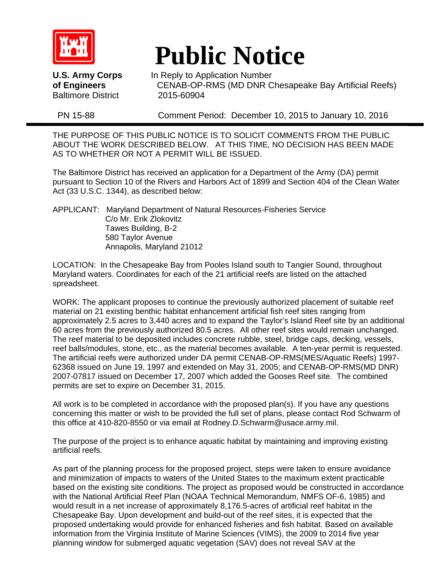

Baltimore District 2015-60904

# **Public Notice**<br>U.S. Army Corps In Reply to Application Number

**U.S. Army Corps In Reply to Application Number**<br>**of Engineers CENAB-OP-RMS (MD DNR C of Engineers** CENAB-OP-RMS (MD DNR Chesapeake Bay Artificial Reefs)

PN 15-88 Comment Period: December 10, 2015 to January 10, 2016

THE PURPOSE OF THIS PUBLIC NOTICE IS TO SOLICIT COMMENTS FROM THE PUBLIC ABOUT THE WORK DESCRIBED BELOW. AT THIS TIME, NO DECISION HAS BEEN MADE AS TO WHETHER OR NOT A PERMIT WILL BE ISSUED.

The Baltimore District has received an application for a Department of the Army (DA) permit pursuant to Section 10 of the Rivers and Harbors Act of 1899 and Section 404 of the Clean Water Act (33 U.S.C. 1344), as described below:

APPLICANT: Maryland Department of Natural Resources-Fisheries Service C/o Mr. Erik Zlokovitz Tawes Building, B-2 580 Taylor Avenue Annapolis, Maryland 21012

LOCATION: In the Chesapeake Bay from Pooles Island south to Tangier Sound, throughout Maryland waters. Coordinates for each of the 21 artificial reefs are listed on the attached spreadsheet.

WORK: The applicant proposes to continue the previously authorized placement of suitable reef material on 21 existing benthic habitat enhancement artificial fish reef sites ranging from approximately 2.5 acres to 3,440 acres and to expand the Taylor's Island Reef site by an additional 60 acres from the previously authorized 80.5 acres. All other reef sites would remain unchanged. The reef material to be deposited includes concrete rubble, steel, bridge caps, decking, vessels, reef balls/modules, stone, etc., as the material becomes available. A ten-year permit is requested. The artificial reefs were authorized under DA permit CENAB-OP-RMS(MES/Aquatic Reefs) 1997- 62368 issued on June 19, 1997 and extended on May 31, 2005; and CENAB-OP-RMS(MD DNR) 2007-07817 issued on December 17, 2007 which added the Gooses Reef site. The combined permits are set to expire on December 31, 2015.

All work is to be completed in accordance with the proposed plan(s). If you have any questions concerning this matter or wish to be provided the full set of plans, please contact Rod Schwarm of this office at 410-820-8550 or via email at Rodney.D.Schwarm@usace.army.mil.

The purpose of the project is to enhance aquatic habitat by maintaining and improving existing artificial reefs.

As part of the planning process for the proposed project, steps were taken to ensure avoidance and minimization of impacts to waters of the United States to the maximum extent practicable based on the existing site conditions. The project as proposed would be constructed in accordance with the National Artificial Reef Plan (NOAA Technical Memorandum, NMFS OF-6, 1985) and would result in a net increase of approximately 8,176.5-acres of artificial reef habitat in the Chesapeake Bay. Upon development and build-out of the reef sites, it is expected that the proposed undertaking would provide for enhanced fisheries and fish habitat. Based on available information from the Virginia Institute of Marine Sciences (VIMS), the 2009 to 2014 five year planning window for submerged aquatic vegetation (SAV) does not reveal SAV at the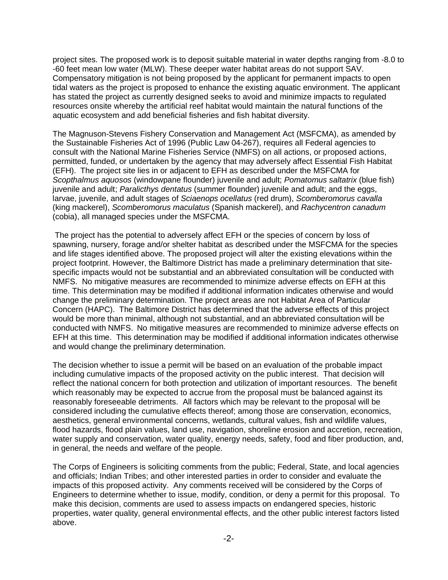project sites. The proposed work is to deposit suitable material in water depths ranging from -8.0 to -60 feet mean low water (MLW). These deeper water habitat areas do not support SAV. Compensatory mitigation is not being proposed by the applicant for permanent impacts to open tidal waters as the project is proposed to enhance the existing aquatic environment. The applicant has stated the project as currently designed seeks to avoid and minimize impacts to regulated resources onsite whereby the artificial reef habitat would maintain the natural functions of the aquatic ecosystem and add beneficial fisheries and fish habitat diversity.

The Magnuson-Stevens Fishery Conservation and Management Act (MSFCMA), as amended by the Sustainable Fisheries Act of 1996 (Public Law 04-267), requires all Federal agencies to consult with the National Marine Fisheries Service (NMFS) on all actions, or proposed actions, permitted, funded, or undertaken by the agency that may adversely affect Essential Fish Habitat (EFH). The project site lies in or adjacent to EFH as described under the MSFCMA for *Scopthalmus aquosos* (windowpane flounder) juvenile and adult; *Pomatomus saltatrix* (blue fish) juvenile and adult; *Paralicthys dentatus* (summer flounder) juvenile and adult; and the eggs, larvae, juvenile, and adult stages of *Sciaenops ocellatus* (red drum), *Scomberomorus cavalla* (king mackerel), *Scomberomorus maculatus* (Spanish mackerel), and *Rachycentron canadum* (cobia), all managed species under the MSFCMA.

The project has the potential to adversely affect EFH or the species of concern by loss of spawning, nursery, forage and/or shelter habitat as described under the MSFCMA for the species and life stages identified above. The proposed project will alter the existing elevations within the project footprint. However, the Baltimore District has made a preliminary determination that sitespecific impacts would not be substantial and an abbreviated consultation will be conducted with NMFS. No mitigative measures are recommended to minimize adverse effects on EFH at this time. This determination may be modified if additional information indicates otherwise and would change the preliminary determination. The project areas are not Habitat Area of Particular Concern (HAPC). The Baltimore District has determined that the adverse effects of this project would be more than minimal, although not substantial, and an abbreviated consultation will be conducted with NMFS. No mitigative measures are recommended to minimize adverse effects on EFH at this time. This determination may be modified if additional information indicates otherwise and would change the preliminary determination.

The decision whether to issue a permit will be based on an evaluation of the probable impact including cumulative impacts of the proposed activity on the public interest. That decision will reflect the national concern for both protection and utilization of important resources. The benefit which reasonably may be expected to accrue from the proposal must be balanced against its reasonably foreseeable detriments. All factors which may be relevant to the proposal will be considered including the cumulative effects thereof; among those are conservation, economics, aesthetics, general environmental concerns, wetlands, cultural values, fish and wildlife values, flood hazards, flood plain values, land use, navigation, shoreline erosion and accretion, recreation, water supply and conservation, water quality, energy needs, safety, food and fiber production, and, in general, the needs and welfare of the people.

The Corps of Engineers is soliciting comments from the public; Federal, State, and local agencies and officials; Indian Tribes; and other interested parties in order to consider and evaluate the impacts of this proposed activity. Any comments received will be considered by the Corps of Engineers to determine whether to issue, modify, condition, or deny a permit for this proposal. To make this decision, comments are used to assess impacts on endangered species, historic properties, water quality, general environmental effects, and the other public interest factors listed above.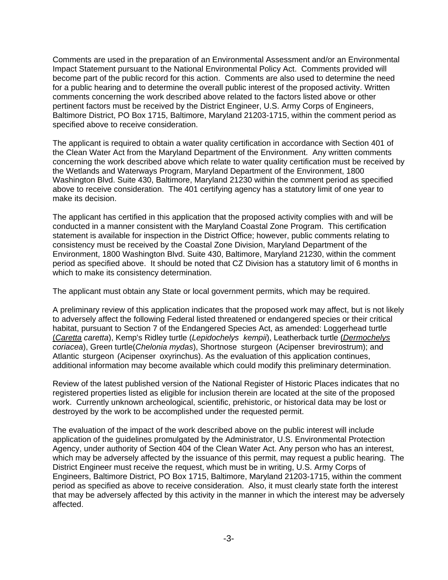Comments are used in the preparation of an Environmental Assessment and/or an Environmental Impact Statement pursuant to the National Environmental Policy Act. Comments provided will become part of the public record for this action. Comments are also used to determine the need for a public hearing and to determine the overall public interest of the proposed activity. Written comments concerning the work described above related to the factors listed above or other pertinent factors must be received by the District Engineer, U.S. Army Corps of Engineers, Baltimore District, PO Box 1715, Baltimore, Maryland 21203-1715, within the comment period as specified above to receive consideration.

The applicant is required to obtain a water quality certification in accordance with Section 401 of the Clean Water Act from the Maryland Department of the Environment. Any written comments concerning the work described above which relate to water quality certification must be received by the Wetlands and Waterways Program, Maryland Department of the Environment, 1800 Washington Blvd. Suite 430, Baltimore, Maryland 21230 within the comment period as specified above to receive consideration. The 401 certifying agency has a statutory limit of one year to make its decision.

The applicant has certified in this application that the proposed activity complies with and will be conducted in a manner consistent with the Maryland Coastal Zone Program. This certification statement is available for inspection in the District Office; however, public comments relating to consistency must be received by the Coastal Zone Division, Maryland Department of the Environment, 1800 Washington Blvd. Suite 430, Baltimore, Maryland 21230, within the comment period as specified above. It should be noted that CZ Division has a statutory limit of 6 months in which to make its consistency determination.

The applicant must obtain any State or local government permits, which may be required.

A preliminary review of this application indicates that the proposed work may affect, but is not likely to adversely affect the following Federal listed threatened or endangered species or their critical habitat, pursuant to Section 7 of the Endangered Species Act, as amended: Loggerhead turtle (*Caretta caretta*), Kemp's Ridley turtle (*Lepidochelys kempii*), Leatherback turtle (*Dermochelys coriacea*), Green turtle(*Chelonia mydas*), Shortnose sturgeon (Acipenser brevirostrum); and Atlantic sturgeon (Acipenser oxyrinchus). As the evaluation of this application continues, additional information may become available which could modify this preliminary determination.

Review of the latest published version of the National Register of Historic Places indicates that no registered properties listed as eligible for inclusion therein are located at the site of the proposed work. Currently unknown archeological, scientific, prehistoric, or historical data may be lost or destroyed by the work to be accomplished under the requested permit.

The evaluation of the impact of the work described above on the public interest will include application of the guidelines promulgated by the Administrator, U.S. Environmental Protection Agency, under authority of Section 404 of the Clean Water Act. Any person who has an interest, which may be adversely affected by the issuance of this permit, may request a public hearing. The District Engineer must receive the request, which must be in writing, U.S. Army Corps of Engineers, Baltimore District, PO Box 1715, Baltimore, Maryland 21203-1715, within the comment period as specified as above to receive consideration. Also, it must clearly state forth the interest that may be adversely affected by this activity in the manner in which the interest may be adversely affected.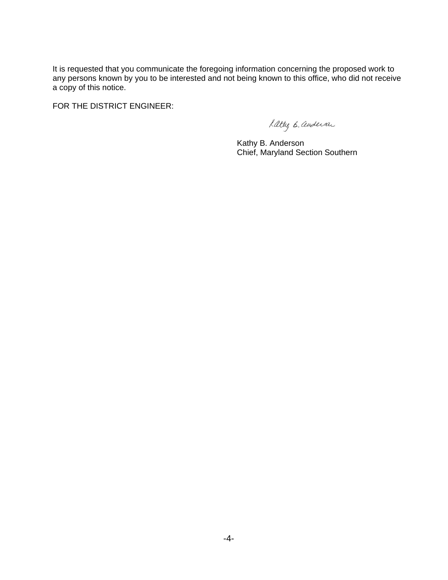It is requested that you communicate the foregoing information concerning the proposed work to any persons known by you to be interested and not being known to this office, who did not receive a copy of this notice.

FOR THE DISTRICT ENGINEER:

Latteg B. andersa

 Kathy B. Anderson Chief, Maryland Section Southern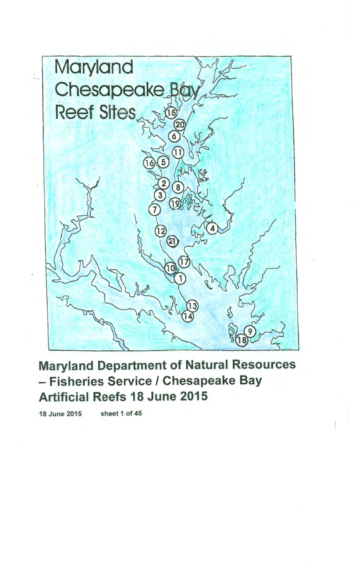

Maryland Department of Natural Resources – Fisheries Service / Chesapeake Bay Artificial Reefs 18 June 2015

18 June 2015 sheet 1of45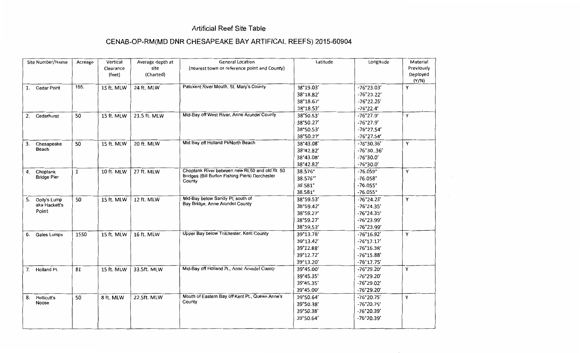#### **Artificial Reef Site Table**

## **CENAB-OP-RM(MD DNR CHESAPEAKE BAY ARTIFICAL REEFS) 2015-60904**

| Site Number/Name                             | Acreage      | Vertical<br>Clearance<br>(feet) | Average depth at<br>site<br>(Charted) | <b>General Location</b><br>(nearest town or reference point and County)                                     | Latitude                                                      | Longitude                                                                                  | Material<br>Previously<br>Deployed<br>(Y/N) |
|----------------------------------------------|--------------|---------------------------------|---------------------------------------|-------------------------------------------------------------------------------------------------------------|---------------------------------------------------------------|--------------------------------------------------------------------------------------------|---------------------------------------------|
| <b>Cedar Point</b><br>1.                     | 155.         | 15 ft. MLW                      | 24 ft. MLW                            | Patuxent River Mouth, St. Mary's County                                                                     | 38°19.03'<br>38°18.82'<br>38°18.67'<br>38°18.53'              | $-76°23.03'$<br>$-76°23.22'$<br>$-76°22.25'$<br>$-76°22.4'$                                | Y                                           |
| 2.<br>Cedarhurst                             | 50           | 15 ft. MLW                      | 21.5 ft. MLW                          | Mid-Bay off West River, Anne Arundel County                                                                 | 38°50.53'<br>38°50.27'<br>38°50.53'<br>38°50.27'              | $-76°27.9'$<br>$-76°27.9'$<br>$-76°27.54'$<br>-76°27.54'                                   | Υ                                           |
| Chesapeake<br>3.<br>Beach                    | 50           | 15 ft. MLW                      | 20 ft. MLW                            | Mid Bay off Holland Pt/North Beach                                                                          | 38°43.08'<br>38°42.82'<br>38°43.08'<br>38°42.82'              | -76°30.36'<br>-76°3036'<br>-76°30.0'<br>$-76°30.0'$                                        | Y                                           |
| 4.<br>Choptank<br><b>Bridge Pier</b>         | $\mathbf{1}$ | 10 ft. MLW                      | 27 ft. MLW                            | Choptank River between new Rt.50 and old Rt. 50<br>Bridges (Bill Burton Fishing Piers) Dorchester<br>County | 38.576°<br>38.576°'<br>38.581°<br>38.581°                     | $-76.059°$<br>$-76.058°$<br>$-76.055^{\circ}$<br>$-76.055°$                                | Υ                                           |
| Dolly's Lump<br>5.<br>aka Hackett's<br>Point | 50           | 15 ft. MLW                      | 12 ft. MLW                            | Mid-Bay below Sandy Pt, south of<br>Bay Bridge, Anne Arundel County                                         | 38°59.53'<br>38°59.42'<br>38°59.27'<br>38°59.27'<br>38°59.53' | -76°24.23'<br>-76°24.35'<br>-76°24.35'<br>-76°23.99'<br>-76°23.99'                         | Y                                           |
| Gales Lumps<br>6.                            | 1550         | 15 ft. MLW                      | 16 ft. MLW                            | Upper Bay below Tolchester, Kent County                                                                     | 39°13.78'<br>39°13.42'<br>39°12.88'<br>39°12.72'<br>39°13.20' | $-76^{\circ}16.92'$<br>$-76°17.17'$<br>$-76^{\circ}16.38'$<br>$-76°15.88'$<br>$-76°17.75'$ | Y                                           |
| 7.<br>Holland Pt.                            | 81           | 15 ft. MLW                      | 33.5ft. MLW                           | Mid-Bay off Holland Pt., Anne Arundel County                                                                | 39°45.00'<br>39°45.35'<br>39°45.35'<br>39°45.00'              | -76°29.20'<br>-76°29.20'<br>-76°29.02'<br>-76°29.20'                                       | Y                                           |
| Hollicutt's<br>8.<br>Noose                   | 50           | 8 ft. MLW                       | 22.5ft. MLW                           | Mouth of Eastern Bay off Kent Pt., Queen Anne's<br>County                                                   | 39°50.64'<br>39°50.38'<br>39°50.38'<br>39°50.64'              | -76°20.75'<br>-76°20.75'<br>-76°20.39'<br>-76°20.39'                                       | Υ                                           |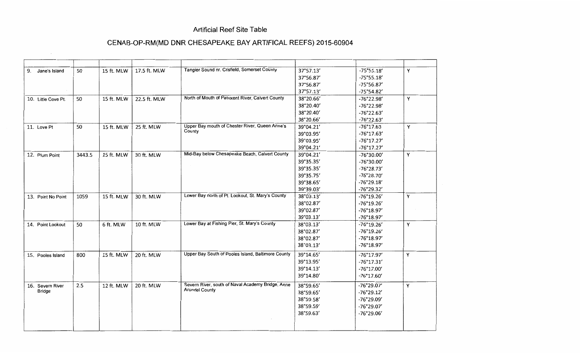#### **Artificial Reef Site Table**

## **CENAB-OP-RM(MD DNR CHESAPEAKE BAY ARTIFICAL REEFS) 2015-60904**

| 9.<br>Jane's Island               | 50     | 15 ft. MLW | 17.5 ft. MLW | Tangier Sound nr. Crisfield, Somerset County             | 37°57.13' | $-75°55.18'$        | Y |
|-----------------------------------|--------|------------|--------------|----------------------------------------------------------|-----------|---------------------|---|
|                                   |        |            |              |                                                          | 37°56.87' | $-75^{\circ}55.18'$ |   |
|                                   |        |            |              |                                                          | 37°56.87' | -75°56.87'          |   |
|                                   |        |            |              |                                                          | 37°57.13' | -75°54.82'          |   |
| 10. Little Cove Pt.               | 50     | 15 ft. MLW | 22.5 ft. MLW | North of Mouth of Patuxent River, Calvert County         | 38°20.66' | $-76°22.98'$        | Y |
|                                   |        |            |              |                                                          | 38°20.40' | -76°22.98'          |   |
|                                   |        |            |              |                                                          | 38°20.40' | $-76°22.63'$        |   |
|                                   |        |            |              |                                                          | 38°20.66' | -76°22.63'          |   |
| 11. Love Pt                       | 50     | 15 ft. MLW | 25 ft. MLW   | Upper Bay mouth of Chester River, Queen Anne's<br>County | 39°04.21' | $-76°17.63$         | Υ |
|                                   |        |            |              |                                                          | 39°03.95' | $-76°17.63'$        |   |
|                                   |        |            |              |                                                          | 39°03.95' | $-76°17.27'$        |   |
|                                   |        |            |              |                                                          | 39°04.21' | $-76°17.27'$        |   |
| 12. Plum Point                    | 3443.5 | 15 ft. MLW | 30 ft. MLW   | Mid-Bay below Chesapeake Beach, Calvert County           | 39°04.21' | $-76°30.00'$        | Y |
|                                   |        |            |              |                                                          | 39°35.35' | -76°30.00'          |   |
|                                   |        |            |              |                                                          | 39°35.35' | -76°28.73'          |   |
|                                   |        |            |              |                                                          | 39°35.75' | -76°28.70'          |   |
|                                   |        |            |              |                                                          | 39°38.65' | $-76°29.18'$        |   |
|                                   |        |            |              |                                                          | 39°39.03' | -76°29.32'          |   |
| 13. Point No Point                | 1059   | 15 ft. MLW | 30 ft. MLW   | Lower Bay north of Pt. Lookout, St. Mary's County        | 38°03.13' | -76°19.26'          | Υ |
|                                   |        |            |              |                                                          | 38°02.87' | $-76°19.26'$        |   |
|                                   |        |            |              |                                                          | 39°02.87' | -76°18.97'          |   |
|                                   |        |            |              |                                                          | 39°03.13' | -76°18.97'          |   |
| 14. Point Lookout                 | 50     | 6 ft. MLW  | 10 ft. MLW   | Lower Bay at Fishing Pier, St. Mary's County             | 38°03.13' | -76°19.26'          | Y |
|                                   |        |            |              |                                                          | 38°02.87' | $-76°19.26'$        |   |
|                                   |        |            |              |                                                          | 38°02.87' | $-76°18.97'$        |   |
|                                   |        |            |              |                                                          | 38°03.13' | -76°18.97'          |   |
| 15. Pooles Island                 | 800    | 15 ft. MLW | 20 ft. MLW   | Upper Bay South of Pooles Island, Baltimore County       | 39°14.65' | $-76°17.97'$        | Υ |
|                                   |        |            |              |                                                          | 39°13.95' | $-76^{\circ}17.31'$ |   |
|                                   |        |            |              |                                                          | 39°14.13' | -76°17.00'          |   |
|                                   |        |            |              |                                                          | 39°14.80' | $-76°17.60'$        |   |
|                                   |        |            |              | Severn River, south of Naval Academy Bridge, Anne        |           |                     |   |
| 16. Severn River<br><b>Bridge</b> | 2.5    | 12 ft. MLW | 20 ft. MLW   | <b>Arundel County</b>                                    | 38°59.65' | -76°29.07'          | Y |
|                                   |        |            |              |                                                          | 38°59.65' | $-76°29.12'$        |   |
|                                   |        |            |              |                                                          | 38°59.58' | -76°29.09'          |   |
|                                   |        |            |              |                                                          | 38°59.59' | -76°29.07'          |   |
|                                   |        |            |              |                                                          | 38°59.63' | -76°29.06'          |   |
|                                   |        |            |              |                                                          |           |                     |   |
|                                   |        |            |              |                                                          |           |                     |   |